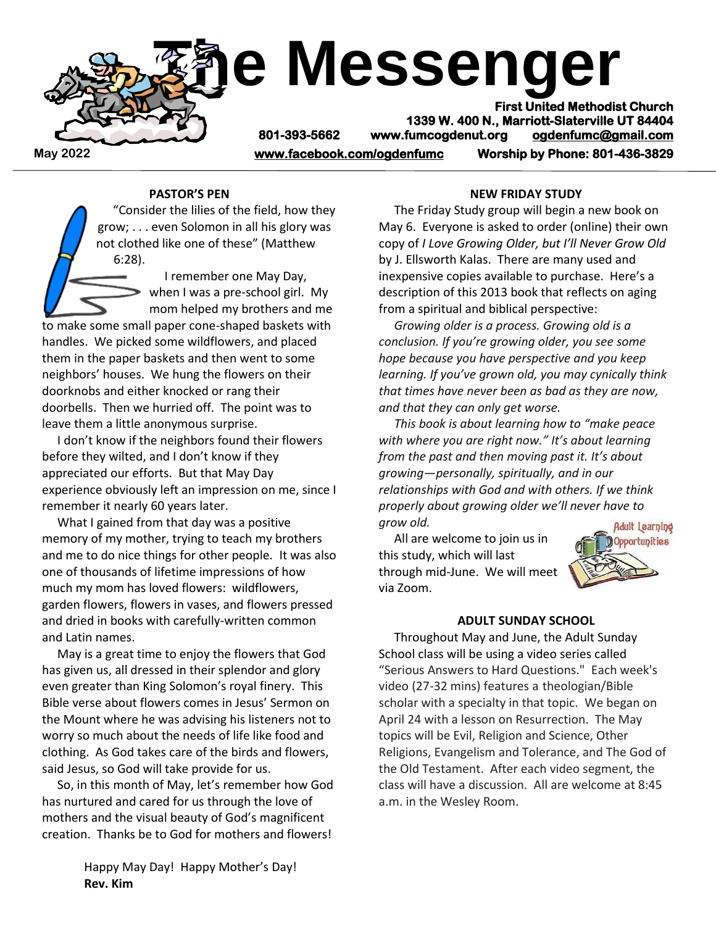

# **PASTOR'S PEN**

 "Consider the lilies of the field, how they grow; . . . even Solomon in all his glory was not clothed like one of these" (Matthew 6:28).

> I remember one May Day, when I was a pre-school girl. My mom helped my brothers and me

to make some small paper cone-shaped baskets with handles. We picked some wildflowers, and placed them in the paper baskets and then went to some neighbors' houses. We hung the flowers on their doorknobs and either knocked or rang their doorbells. Then we hurried off. The point was to leave them a little anonymous surprise.

 I don't know if the neighbors found their flowers before they wilted, and I don't know if they appreciated our efforts. But that May Day experience obviously left an impression on me, since I remember it nearly 60 years later.

 What I gained from that day was a positive memory of my mother, trying to teach my brothers and me to do nice things for other people. It was also one of thousands of lifetime impressions of how much my mom has loved flowers: wildflowers, garden flowers, flowers in vases, and flowers pressed and dried in books with carefully-written common and Latin names.

 May is a great time to enjoy the flowers that God has given us, all dressed in their splendor and glory even greater than King Solomon's royal finery. This Bible verse about flowers comes in Jesus' Sermon on the Mount where he was advising his listeners not to worry so much about the needs of life like food and clothing. As God takes care of the birds and flowers, said Jesus, so God will take provide for us.

 So, in this month of May, let's remember how God has nurtured and cared for us through the love of mothers and the visual beauty of God's magnificent creation. Thanks be to God for mothers and flowers!

> Happy May Day! Happy Mother's Day! **Rev. Kim**

#### **NEW FRIDAY STUDY**

 The Friday Study group will begin a new book on May 6. Everyone is asked to order (online) their own copy of *I Love Growing Older, but I'll Never Grow Old* by J. Ellsworth Kalas. There are many used and inexpensive copies available to purchase. Here's a description of this 2013 book that reflects on aging from a spiritual and biblical perspective:

 *Growing older is a process. Growing old is a conclusion. If you're growing older, you see some hope because you have perspective and you keep learning. If you've grown old, you may cynically think that times have never been as bad as they are now, and that they can only get worse.*

 *This book is about learning how to "make peace with where you are right now." It's about learning from the past and then moving past it. It's about growing—personally, spiritually, and in our relationships with God and with others. If we think properly about growing older we'll never have to grow old.*

 All are welcome to join us in this study, which will last through mid-June. We will meet via Zoom.



#### **ADULT SUNDAY SCHOOL**

 Throughout May and June, the Adult Sunday School class will be using a video series called "Serious Answers to Hard Questions." Each week's video (27-32 mins) features a theologian/Bible scholar with a specialty in that topic. We began on April 24 with a lesson on Resurrection. The May topics will be Evil, Religion and Science, Other Religions, Evangelism and Tolerance, and The God of the Old Testament. After each video segment, the class will have a discussion. All are welcome at 8:45 a.m. in the Wesley Room.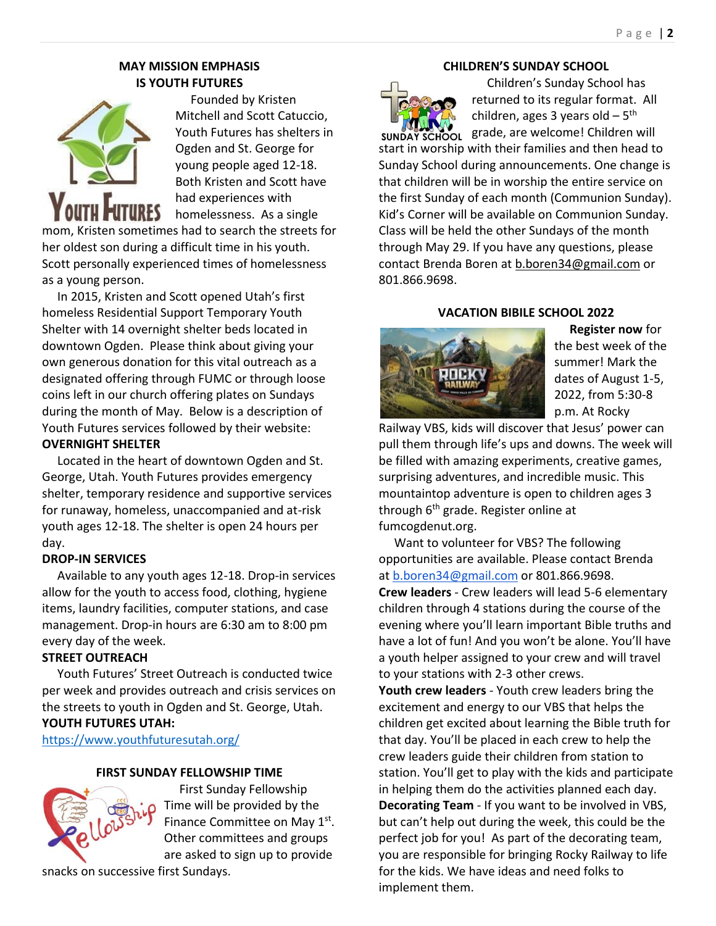# **MAY MISSION EMPHASIS IS YOUTH FUTURES**



 Founded by Kristen Mitchell and Scott Catuccio, Youth Futures has shelters in Ogden and St. George for young people aged 12-18. Both Kristen and Scott have had experiences with homelessness. As a single mom, Kristen sometimes had to search the streets for

her oldest son during a difficult time in his youth. Scott personally experienced times of homelessness as a young person.

 In 2015, Kristen and Scott opened Utah's first homeless Residential Support Temporary Youth Shelter with 14 overnight shelter beds located in downtown Ogden. Please think about giving your own generous donation for this vital outreach as a designated offering through FUMC or through loose coins left in our church offering plates on Sundays during the month of May. Below is a description of Youth Futures services followed by their website:

# **OVERNIGHT SHELTER**

 Located in the heart of downtown Ogden and St. George, Utah. Youth Futures provides emergency shelter, temporary residence and supportive services for runaway, homeless, unaccompanied and at-risk youth ages 12-18. The shelter is open 24 hours per day.

## **DROP-IN SERVICES**

 Available to any youth ages 12-18. Drop-in services allow for the youth to access food, clothing, hygiene items, laundry facilities, computer stations, and case management. Drop-in hours are 6:30 am to 8:00 pm every day of the week.

# **STREET OUTREACH**

 Youth Futures' Street Outreach is conducted twice per week and provides outreach and crisis services on the streets to youth in Ogden and St. George, Utah. **YOUTH FUTURES UTAH:**

<https://www.youthfuturesutah.org/>

### **FIRST SUNDAY FELLOWSHIP TIME**



 First Sunday Fellowship Time will be provided by the Finance Committee on May 1<sup>st</sup>. Other committees and groups are asked to sign up to provide

snacks on successive first Sundays.

# **CHILDREN'S SUNDAY SCHOOL**



 Children's Sunday School has returned to its regular format. All children, ages 3 years old – 5<sup>th</sup> sunday school grade, are welcome! Children will

start in worship with their families and then head to Sunday School during announcements. One change is that children will be in worship the entire service on the first Sunday of each month (Communion Sunday). Kid's Corner will be available on Communion Sunday. Class will be held the other Sundays of the month through May 29. If you have any questions, please contact Brenda Boren a[t b.boren34@gmail.com](mailto:b.boren34@gmail.com) or 801.866.9698.

## **VACATION BIBILE SCHOOL 2022**



 **Register now** for the best week of the summer! Mark the dates of August 1-5, 2022, from 5:30-8 p.m. At Rocky

Railway VBS, kids will discover that Jesus' power can pull them through life's ups and downs. The week will be filled with amazing experiments, creative games, surprising adventures, and incredible music. This mountaintop adventure is open to children ages 3 through 6<sup>th</sup> grade. Register online at fumcogdenut.org.

 Want to volunteer for VBS? The following opportunities are available. Please contact Brenda at [b.boren34@gmail.com](mailto:b.boren34@gmail.com) or 801.866.9698. **Crew leaders** - Crew leaders will lead 5-6 elementary children through 4 stations during the course of the evening where you'll learn important Bible truths and have a lot of fun! And you won't be alone. You'll have a youth helper assigned to your crew and will travel to your stations with 2-3 other crews.

**Youth crew leaders** - Youth crew leaders bring the excitement and energy to our VBS that helps the children get excited about learning the Bible truth for that day. You'll be placed in each crew to help the crew leaders guide their children from station to station. You'll get to play with the kids and participate in helping them do the activities planned each day. **Decorating Team** - If you want to be involved in VBS, but can't help out during the week, this could be the perfect job for you! As part of the decorating team, you are responsible for bringing Rocky Railway to life for the kids. We have ideas and need folks to implement them.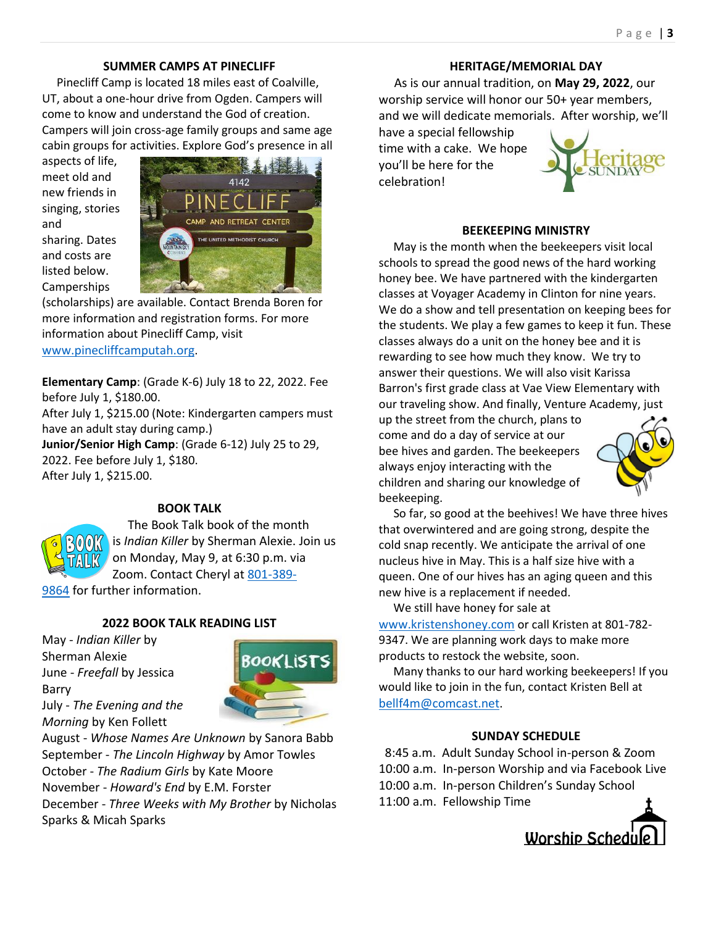# **SUMMER CAMPS AT PINECLIFF**

 Pinecliff Camp is located 18 miles east of Coalville, UT, about a one-hour drive from Ogden. Campers will come to know and understand the God of creation. Campers will join cross-age family groups and same age cabin groups for activities. Explore God's presence in all

aspects of life, meet old and new friends in singing, stories and sharing. Dates and costs are listed below. **Camperships** 



(scholarships) are available. Contact Brenda Boren for more information and registration forms. For more information about Pinecliff Camp, visit [www.pinecliffcamputah.org](http://www.pinecliffcamputah.org/).

**Elementary Camp**: (Grade K-6) July 18 to 22, 2022. Fee before July 1, \$180.00.

After July 1, \$215.00 (Note: Kindergarten campers must have an adult stay during camp.)

**Junior/Senior High Camp**: (Grade 6-12) July 25 to 29, 2022. Fee before July 1, \$180. After July 1, \$215.00.

# **BOOK TALK**

 The Book Talk book of the month is *Indian Killer* by Sherman Alexie. Join us on Monday, May 9, at 6:30 p.m. via Zoom. Contact Cheryl at [801-389-](tel:(801)%20389-9864)

[9864](tel:(801)%20389-9864) for further information.

# **2022 BOOK TALK READING LIST**

May - *Indian Killer* by Sherman Alexie June - *Freefall* by Jessica Barry July - *The Evening and the Morning* by Ken Follett



August - *Whose Names Are Unknown* by Sanora Babb September - *The Lincoln Highway* by Amor Towles October - *The Radium Girls* by Kate Moore November - *Howard's End* by E.M. Forster December - *Three Weeks with My Brother* by Nicholas Sparks & Micah Sparks

# **HERITAGE/MEMORIAL DAY**

 As is our annual tradition, on **May 29, 2022**, our worship service will honor our 50+ year members, and we will dedicate memorials. After worship, we'll

have a special fellowship time with a cake. We hope you'll be here for the celebration!



# **BEEKEEPING MINISTRY**

 May is the month when the beekeepers visit local schools to spread the good news of the hard working honey bee. We have partnered with the kindergarten classes at Voyager Academy in Clinton for nine years. We do a show and tell presentation on keeping bees for the students. We play a few games to keep it fun. These classes always do a unit on the honey bee and it is rewarding to see how much they know. We try to answer their questions. We will also visit Karissa Barron's first grade class at Vae View Elementary with our traveling show. And finally, Venture Academy, just

up the street from the church, plans to come and do a day of service at our bee hives and garden. The beekeepers always enjoy interacting with the children and sharing our knowledge of beekeeping.



 So far, so good at the beehives! We have three hives that overwintered and are going strong, despite the cold snap recently. We anticipate the arrival of one nucleus hive in May. This is a half size hive with a queen. One of our hives has an aging queen and this new hive is a replacement if needed.

 We still have honey for sale at [www.kristenshoney.com](http://www.kristenshoney.com/) or call Kristen at 801-782- 9347. We are planning work days to make more products to restock the website, soon.

 Many thanks to our hard working beekeepers! If you would like to join in the fun, contact Kristen Bell at [bellf4m@comcast.net](mailto:bellf4m@comcast.net).

## **SUNDAY SCHEDULE**

 8:45 a.m. Adult Sunday School in-person & Zoom 10:00 a.m. In-person Worship and via Facebook Live 10:00 a.m. In-person Children's Sunday School 11:00 a.m. Fellowship Time

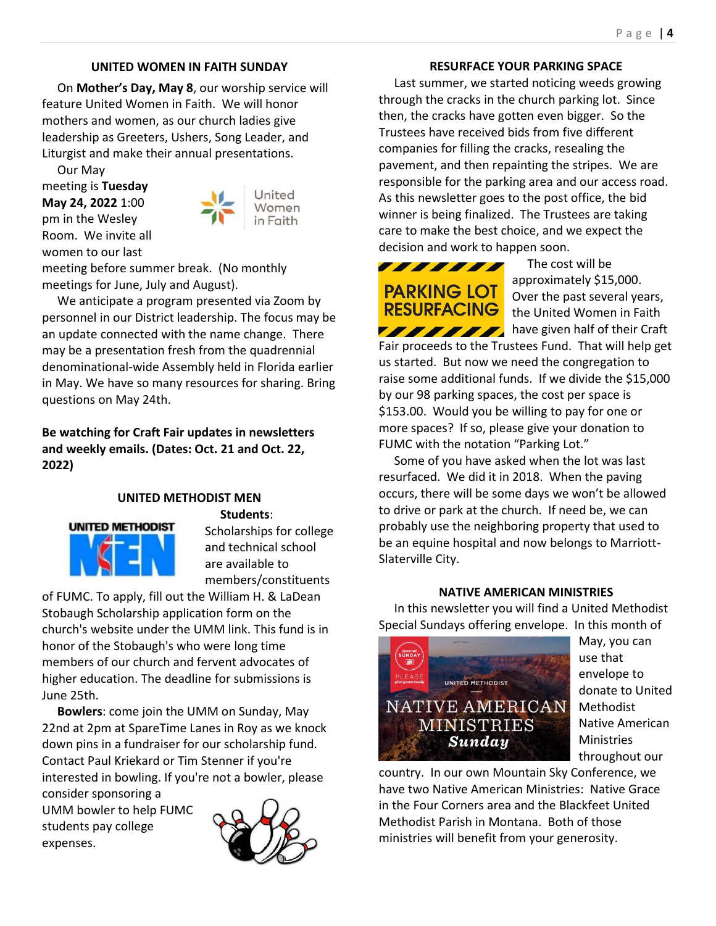# **UNITED WOMEN IN FAITH SUNDAY**

 On **Mother's Day, May 8**, our worship service will feature United Women in Faith. We will honor mothers and women, as our church ladies give leadership as Greeters, Ushers, Song Leader, and Liturgist and make their annual presentations.

 Our May meeting is **Tuesday May 24, 2022** 1:00 pm in the Wesley Room. We invite all women to our last



meeting before summer break. (No monthly meetings for June, July and August).

 We anticipate a program presented via Zoom by personnel in our District leadership. The focus may be an update connected with the name change. There may be a presentation fresh from the quadrennial denominational-wide Assembly held in Florida earlier in May. We have so many resources for sharing. Bring questions on May 24th.

**Be watching for Craft Fair updates in newsletters and weekly emails. (Dates: Oct. 21 and Oct. 22, 2022)**

# **UNITED METHODIST MEN**



 **Students**: Scholarships for college and technical school are available to members/constituents

of FUMC. To apply, fill out the William H. & LaDean Stobaugh Scholarship application form on the church's website under the UMM link. This fund is in honor of the Stobaugh's who were long time members of our church and fervent advocates of higher education. The deadline for submissions is June 25th.

 **Bowlers**: come join the UMM on Sunday, May 22nd at 2pm at SpareTime Lanes in Roy as we knock down pins in a fundraiser for our scholarship fund. Contact Paul Kriekard or Tim Stenner if you're interested in bowling. If you're not a bowler, please

consider sponsoring a UMM bowler to help FUMC students pay college expenses.



## **RESURFACE YOUR PARKING SPACE**

 Last summer, we started noticing weeds growing through the cracks in the church parking lot. Since then, the cracks have gotten even bigger. So the Trustees have received bids from five different companies for filling the cracks, resealing the pavement, and then repainting the stripes. We are responsible for the parking area and our access road. As this newsletter goes to the post office, the bid winner is being finalized. The Trustees are taking care to make the best choice, and we expect the decision and work to happen soon.



 The cost will be approximately \$15,000. Over the past several years, the United Women in Faith **HAMAN** have given half of their Craft

Fair proceeds to the Trustees Fund. That will help get us started. But now we need the congregation to raise some additional funds. If we divide the \$15,000 by our 98 parking spaces, the cost per space is \$153.00. Would you be willing to pay for one or more spaces? If so, please give your donation to FUMC with the notation "Parking Lot."

 Some of you have asked when the lot was last resurfaced. We did it in 2018. When the paving occurs, there will be some days we won't be allowed to drive or park at the church. If need be, we can probably use the neighboring property that used to be an equine hospital and now belongs to Marriott-Slaterville City.

#### **NATIVE AMERICAN MINISTRIES**

 In this newsletter you will find a United Methodist Special Sundays offering envelope. In this month of



May, you can use that envelope to donate to United **Methodist** Native American Ministries throughout our

country. In our own Mountain Sky Conference, we have two Native American Ministries: Native Grace in the Four Corners area and the Blackfeet United Methodist Parish in Montana. Both of those ministries will benefit from your generosity.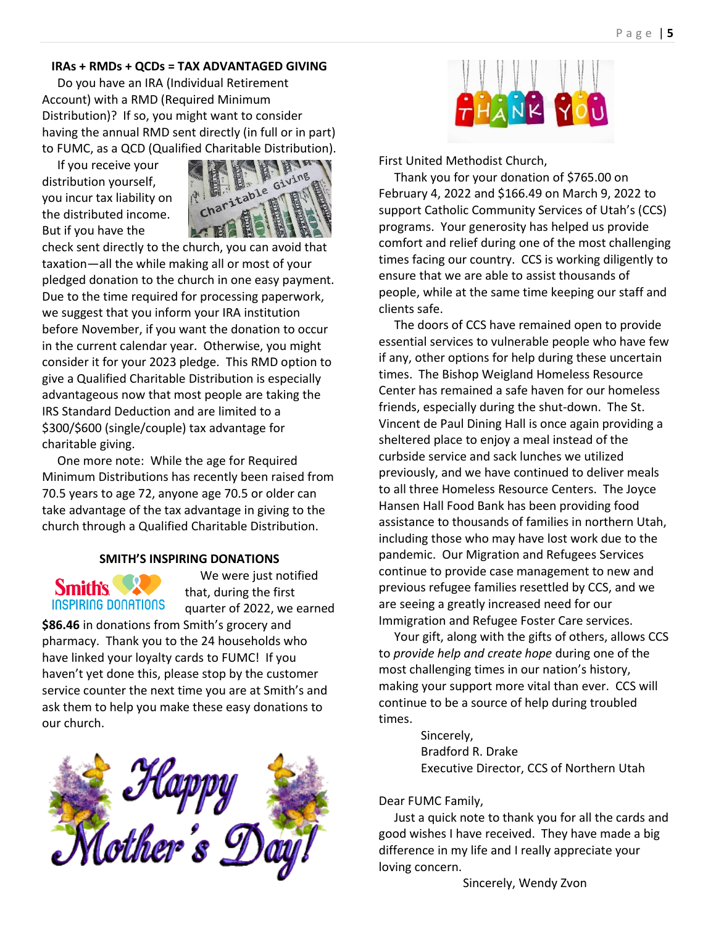#### **IRAs + RMDs + QCDs = TAX ADVANTAGED GIVING**

 Do you have an IRA (Individual Retirement Account) with a RMD (Required Minimum Distribution)? If so, you might want to consider having the annual RMD sent directly (in full or in part) to FUMC, as a QCD (Qualified Charitable Distribution).

 If you receive your distribution yourself, you incur tax liability on the distributed income. But if you have the



check sent directly to the church, you can avoid that taxation—all the while making all or most of your pledged donation to the church in one easy payment. Due to the time required for processing paperwork, we suggest that you inform your IRA institution before November, if you want the donation to occur in the current calendar year. Otherwise, you might consider it for your 2023 pledge. This RMD option to give a Qualified Charitable Distribution is especially advantageous now that most people are taking the IRS Standard Deduction and are limited to a \$300/\$600 (single/couple) tax advantage for charitable giving.

 One more note: While the age for Required Minimum Distributions has recently been raised from 70.5 years to age 72, anyone age 70.5 or older can take advantage of the tax advantage in giving to the church through a Qualified Charitable Distribution.

#### **SMITH'S INSPIRING DONATIONS**



 We were just notified that, during the first quarter of 2022, we earned

**\$86.46** in donations from Smith's grocery and pharmacy. Thank you to the 24 households who have linked your loyalty cards to FUMC! If you haven't yet done this, please stop by the customer service counter the next time you are at Smith's and ask them to help you make these easy donations to our church.





First United Methodist Church,

 Thank you for your donation of \$765.00 on February 4, 2022 and \$166.49 on March 9, 2022 to support Catholic Community Services of Utah's (CCS) programs. Your generosity has helped us provide comfort and relief during one of the most challenging times facing our country. CCS is working diligently to ensure that we are able to assist thousands of people, while at the same time keeping our staff and clients safe.

 The doors of CCS have remained open to provide essential services to vulnerable people who have few if any, other options for help during these uncertain times. The Bishop Weigland Homeless Resource Center has remained a safe haven for our homeless friends, especially during the shut-down. The St. Vincent de Paul Dining Hall is once again providing a sheltered place to enjoy a meal instead of the curbside service and sack lunches we utilized previously, and we have continued to deliver meals to all three Homeless Resource Centers. The Joyce Hansen Hall Food Bank has been providing food assistance to thousands of families in northern Utah, including those who may have lost work due to the pandemic. Our Migration and Refugees Services continue to provide case management to new and previous refugee families resettled by CCS, and we are seeing a greatly increased need for our Immigration and Refugee Foster Care services.

 Your gift, along with the gifts of others, allows CCS to *provide help and create hope* during one of the most challenging times in our nation's history, making your support more vital than ever. CCS will continue to be a source of help during troubled times.

> Sincerely, Bradford R. Drake Executive Director, CCS of Northern Utah

## Dear FUMC Family,

 Just a quick note to thank you for all the cards and good wishes I have received. They have made a big difference in my life and I really appreciate your loving concern.

Sincerely, Wendy Zvon